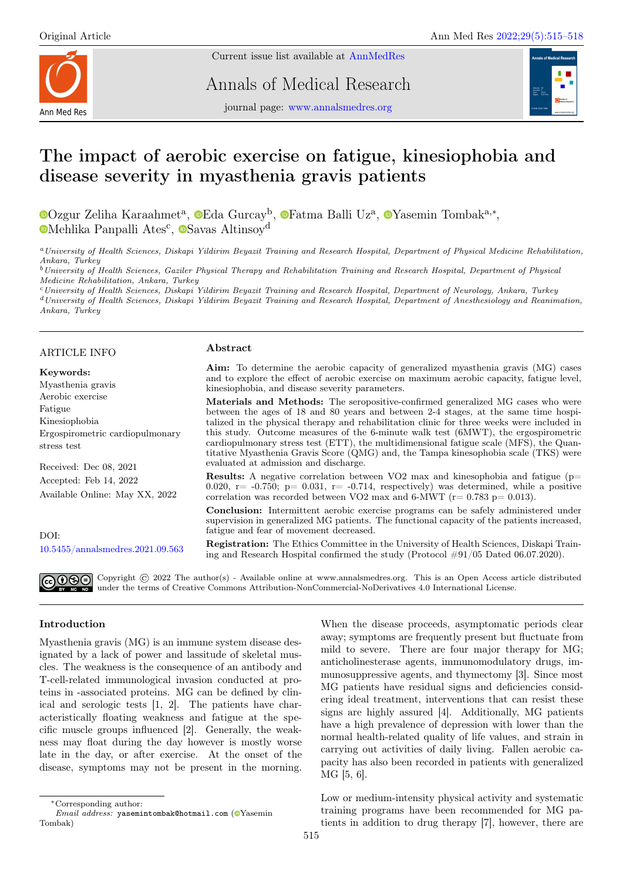Current issue list available at [AnnMedRes](https://annalsmedres.org/index.php/aomr/issue/view/163)



Annals of Medical Research

journal page: [www.annalsmedres.org](https://www.annalsmedres.org)



# The impact of aerobic exercise on fatigue, kinesiophobia and disease severity in myasthenia gravis patients

[O](https://orcid.org/0000-0002-1338-8935)zgur Zeliha Karaahmet<sup>a</sup>, <sup>o</sup>[E](https://orcid.org/0000-0002-0118-6527)da Gurcay<sup>b</sup>, <sup>o</sup>[F](https://orcid.org/0000-0001-8666-1034)atma Balli Uz<sup>a</sup>, o[Y](https://orcid.org/0000-0003-0065-5376)asemin Tombak<sup>a,∗</sup>, [M](https://orcid.org/0000-0002-9744-9255)ehlika Panpalli Ates<sup>c</sup>,  $\bullet$ [S](https://orcid.org/0000-0002-3588-7145)avas Altinsoy<sup>d</sup>

<sup>a</sup>University of Health Sciences, Diskapi Yildirim Beyazit Training and Research Hospital, Department of Physical Medicine Rehabilitation, Ankara, Turkey

<sup>b</sup>University of Health Sciences, Gaziler Physical Therapy and Rehabilitation Training and Research Hospital, Department of Physical Medicine Rehabilitation, Ankara, Turkey

<sup>c</sup>University of Health Sciences, Diskapi Yildirim Beyazit Training and Research Hospital, Department of Neurology, Ankara, Turkey <sup>d</sup>University of Health Sciences, Diskapi Yildirim Beyazit Training and Research Hospital, Department of Anesthesiology and Reanimation, Ankara, Turkey

#### ARTICLE INFO

#### Keywords:

Myasthenia gravis Aerobic exercise Fatigue Kinesiophobia Ergospirometric cardiopulmonary stress test

Received: Dec 08, 2021 Accepted: Feb 14, 2022 Available Online: May XX, 2022

 $DOI<sup>2</sup>$ [10.5455/annalsmedres.2021.09.563](https://doi.org/10.5455/annalsmedres.2021.09.563)

#### Abstract

Aim: To determine the aerobic capacity of generalized myasthenia gravis (MG) cases and to explore the effect of aerobic exercise on maximum aerobic capacity, fatigue level, kinesiophobia, and disease severity parameters.

Materials and Methods: The seropositive-confirmed generalized MG cases who were between the ages of 18 and 80 years and between 2-4 stages, at the same time hospitalized in the physical therapy and rehabilitation clinic for three weeks were included in this study. Outcome measures of the 6-minute walk test (6MWT), the ergospirometric cardiopulmonary stress test (ETT), the multidimensional fatigue scale (MFS), the Quantitative Myasthenia Gravis Score (QMG) and, the Tampa kinesophobia scale (TKS) were evaluated at admission and discharge.

**Results:** A negative correlation between VO2 max and kinesophobia and fatigue ( $p=$ 0.020,  $r = -0.750$ ;  $p = 0.031$ ,  $r = -0.714$ , respectively) was determined, while a positive correlation was recorded between VO2 max and 6-MWT ( $r= 0.783$  p= 0.013).

Conclusion: Intermittent aerobic exercise programs can be safely administered under supervision in generalized MG patients. The functional capacity of the patients increased, fatigue and fear of movement decreased.

Registration: The Ethics Committee in the University of Health Sciences, Diskapi Training and Research Hospital confirmed the study (Protocol #91/05 Dated 06.07.2020).

Copyright  $\odot$  2022 The author(s) - Available online at www.annalsmedres.org. This is an Open Access article distributed under the terms of Creative Commons Attribution-NonCommercial-NoDerivatives 4.0 International License.

## Introduction

Myasthenia gravis (MG) is an immune system disease designated by a lack of power and lassitude of skeletal muscles. The weakness is the consequence of an antibody and T-cell-related immunological invasion conducted at proteins in -associated proteins. MG can be defined by clinical and serologic tests [1, 2]. The patients have characteristically floating weakness and fatigue at the specific muscle groups influenced [2]. Generally, the weakness may float during the day however is mostly worse late in the day, or after exercise. At the onset of the disease, symptoms may not be present in the morning.

Low or medium-intensity physical activity and systematic training programs have been recommended for MG patients in addition to drug therapy [7], however, there are

When the disease proceeds, asymptomatic periods clear away; symptoms are frequently present but fluctuate from mild to severe. There are four major therapy for MG;

anticholinesterase agents, immunomodulatory drugs, immunosuppressive agents, and thymectomy [3]. Since most MG patients have residual signs and deficiencies considering ideal treatment, interventions that can resist these signs are highly assured [4]. Additionally, MG patients have a high prevalence of depression with lower than the normal health-related quality of life values, and strain in carrying out activities of daily living. Fallen aerobic capacity has also been recorded in patients with generalized MG [5, 6].

<sup>∗</sup>Corresponding author:

 $Email$   $address:$  vasemintombak@hotmail.com ( $\bullet$ [Y](https://orcid.org/0000-0003-0065-5376)asemin Tombak)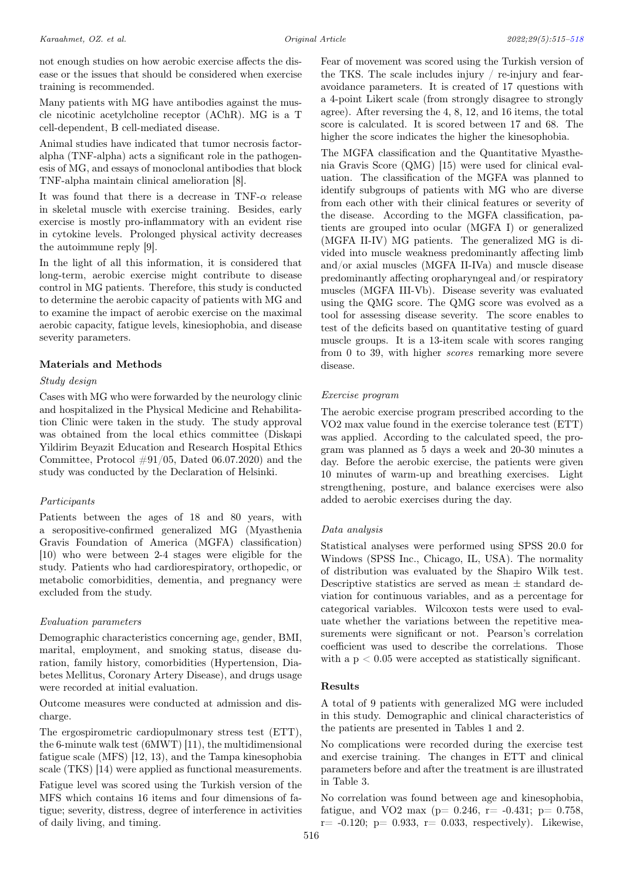not enough studies on how aerobic exercise affects the disease or the issues that should be considered when exercise training is recommended.

Many patients with MG have antibodies against the muscle nicotinic acetylcholine receptor (AChR). MG is a T cell-dependent, B cell-mediated disease.

Animal studies have indicated that tumor necrosis factoralpha (TNF-alpha) acts a significant role in the pathogenesis of MG, and essays of monoclonal antibodies that block TNF-alpha maintain clinical amelioration [8].

It was found that there is a decrease in TNF- $\alpha$  release in skeletal muscle with exercise training. Besides, early exercise is mostly pro-inflammatory with an evident rise in cytokine levels. Prolonged physical activity decreases the autoimmune reply [9].

In the light of all this information, it is considered that long-term, aerobic exercise might contribute to disease control in MG patients. Therefore, this study is conducted to determine the aerobic capacity of patients with MG and to examine the impact of aerobic exercise on the maximal aerobic capacity, fatigue levels, kinesiophobia, and disease severity parameters.

# Materials and Methods

## Study design

Cases with MG who were forwarded by the neurology clinic and hospitalized in the Physical Medicine and Rehabilitation Clinic were taken in the study. The study approval was obtained from the local ethics committee (Diskapi Yildirim Beyazit Education and Research Hospital Ethics Committee, Protocol  $\#91/05$ , Dated 06.07.2020) and the study was conducted by the Declaration of Helsinki.

## Participants

Patients between the ages of 18 and 80 years, with a seropositive-confirmed generalized MG (Myasthenia Gravis Foundation of America (MGFA) classification) [10) who were between 2-4 stages were eligible for the study. Patients who had cardiorespiratory, orthopedic, or metabolic comorbidities, dementia, and pregnancy were excluded from the study.

## Evaluation parameters

Demographic characteristics concerning age, gender, BMI, marital, employment, and smoking status, disease duration, family history, comorbidities (Hypertension, Diabetes Mellitus, Coronary Artery Disease), and drugs usage were recorded at initial evaluation.

Outcome measures were conducted at admission and discharge.

The ergospirometric cardiopulmonary stress test (ETT), the 6-minute walk test (6MWT) [11), the multidimensional fatigue scale (MFS) [12, 13), and the Tampa kinesophobia scale (TKS) [14) were applied as functional measurements.

Fatigue level was scored using the Turkish version of the MFS which contains 16 items and four dimensions of fatigue; severity, distress, degree of interference in activities of daily living, and timing.

Fear of movement was scored using the Turkish version of the TKS. The scale includes injury / re-injury and fearavoidance parameters. It is created of 17 questions with a 4-point Likert scale (from strongly disagree to strongly agree). After reversing the 4, 8, 12, and 16 items, the total score is calculated. It is scored between 17 and 68. The higher the score indicates the higher the kinesophobia.

The MGFA classification and the Quantitative Myasthenia Gravis Score (QMG) [15) were used for clinical evaluation. The classification of the MGFA was planned to identify subgroups of patients with MG who are diverse from each other with their clinical features or severity of the disease. According to the MGFA classification, patients are grouped into ocular (MGFA I) or generalized (MGFA II-IV) MG patients. The generalized MG is divided into muscle weakness predominantly affecting limb and/or axial muscles (MGFA II-IVa) and muscle disease predominantly affecting oropharyngeal and/or respiratory muscles (MGFA III-Vb). Disease severity was evaluated using the QMG score. The QMG score was evolved as a tool for assessing disease severity. The score enables to test of the deficits based on quantitative testing of guard muscle groups. It is a 13-item scale with scores ranging from 0 to 39, with higher scores remarking more severe disease.

## Exercise program

The aerobic exercise program prescribed according to the VO2 max value found in the exercise tolerance test (ETT) was applied. According to the calculated speed, the program was planned as 5 days a week and 20-30 minutes a day. Before the aerobic exercise, the patients were given 10 minutes of warm-up and breathing exercises. Light strengthening, posture, and balance exercises were also added to aerobic exercises during the day.

## Data analysis

Statistical analyses were performed using SPSS 20.0 for Windows (SPSS Inc., Chicago, IL, USA). The normality of distribution was evaluated by the Shapiro Wilk test. Descriptive statistics are served as mean  $\pm$  standard deviation for continuous variables, and as a percentage for categorical variables. Wilcoxon tests were used to evaluate whether the variations between the repetitive measurements were significant or not. Pearson's correlation coefficient was used to describe the correlations. Those with a  $p < 0.05$  were accepted as statistically significant.

# Results

A total of 9 patients with generalized MG were included in this study. Demographic and clinical characteristics of the patients are presented in Tables 1 and 2.

No complications were recorded during the exercise test and exercise training. The changes in ETT and clinical parameters before and after the treatment is are illustrated in Table 3.

No correlation was found between age and kinesophobia, fatigue, and VO2 max ( $p= 0.246$ ,  $r=-0.431$ ;  $p= 0.758$ ,  $r= -0.120$ ;  $p= 0.933$ ,  $r= 0.033$ , respectively). Likewise,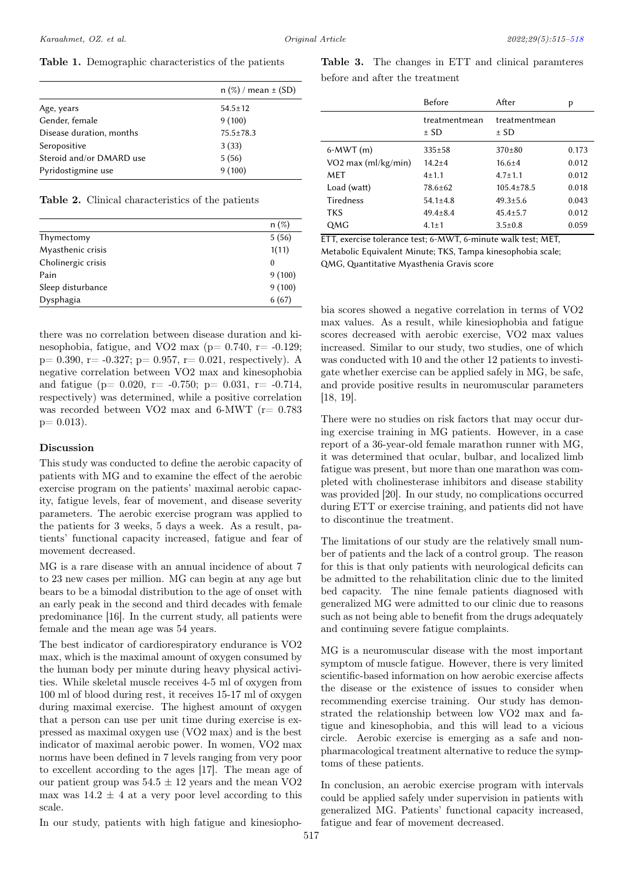Table 1. Demographic characteristics of the patients

|                          | $n$ (%) / mean $\pm$ (SD) |
|--------------------------|---------------------------|
| Age, years               | $54.5 \pm 12$             |
| Gender, female           | 9(100)                    |
| Disease duration, months | $75.5 \pm 78.3$           |
| Seropositive             | 3(33)                     |
| Steroid and/or DMARD use | 5(56)                     |
| Pyridostigmine use       | 9(100)                    |

Table 2. Clinical characteristics of the patients

|                    | $n(\%)$  |
|--------------------|----------|
| Thymectomy         | 5(56)    |
| Myasthenic crisis  | 1(11)    |
| Cholinergic crisis | $\theta$ |
| Pain               | 9(100)   |
| Sleep disturbance  | 9(100)   |
| Dysphagia          | 6(67)    |
|                    |          |

there was no correlation between disease duration and kinesophobia, fatigue, and VO2 max ( $p= 0.740$ ,  $r= -0.129$ ;  $p= 0.390, r= -0.327; p= 0.957, r= 0.021$ , respectively). A negative correlation between VO2 max and kinesophobia and fatigue ( $p= 0.020$ ,  $r=-0.750$ ;  $p= 0.031$ ,  $r=-0.714$ , respectively) was determined, while a positive correlation was recorded between VO2 max and 6-MWT ( $r= 0.783$ )  $p= 0.013$ .

#### Discussion

This study was conducted to define the aerobic capacity of patients with MG and to examine the effect of the aerobic exercise program on the patients' maximal aerobic capacity, fatigue levels, fear of movement, and disease severity parameters. The aerobic exercise program was applied to the patients for 3 weeks, 5 days a week. As a result, patients' functional capacity increased, fatigue and fear of movement decreased.

MG is a rare disease with an annual incidence of about 7 to 23 new cases per million. MG can begin at any age but bears to be a bimodal distribution to the age of onset with an early peak in the second and third decades with female predominance [16]. In the current study, all patients were female and the mean age was 54 years.

The best indicator of cardiorespiratory endurance is VO2 max, which is the maximal amount of oxygen consumed by the human body per minute during heavy physical activities. While skeletal muscle receives 4-5 ml of oxygen from 100 ml of blood during rest, it receives 15-17 ml of oxygen during maximal exercise. The highest amount of oxygen that a person can use per unit time during exercise is expressed as maximal oxygen use (VO2 max) and is the best indicator of maximal aerobic power. In women, VO2 max norms have been defined in 7 levels ranging from very poor to excellent according to the ages [17]. The mean age of our patient group was  $54.5 \pm 12$  years and the mean VO2 max was  $14.2 \pm 4$  at a very poor level according to this scale.

In our study, patients with high fatigue and kinesiopho-

<span id="page-2-0"></span>

|                       | <b>Before</b>             | After                     | p     |
|-----------------------|---------------------------|---------------------------|-------|
|                       | treatmentmean<br>$\pm$ SD | treatmentmean<br>$\pm$ SD |       |
| $6-MWT(m)$            | $335 \pm 58$              | $370\pm80$                | 0.173 |
| $VO2$ max (ml/kg/min) | $14.2 + 4$                | $16.6 \pm 4$              | 0.012 |
| <b>MFT</b>            | $4 + 1.1$                 | $4.7 \pm 1.1$             | 0.012 |
| Load (watt)           | 78.6±62                   | $105.4 \pm 78.5$          | 0.018 |
| Tiredness             | $54.1 \pm 4.8$            | $49.3 \pm 5.6$            | 0.043 |
| <b>TKS</b>            | $49.4 \pm 8.4$            | $45.4 \pm 5.7$            | 0.012 |
| QMG                   | $4.1 \pm 1$               | $3.5 \pm 0.8$             | 0.059 |

ETT, exercise tolerance test; 6-MWT, 6-minute walk test; MET, Metabolic Equivalent Minute; TKS, Tampa kinesophobia scale; QMG, Quantitative Myasthenia Gravis score

bia scores showed a negative correlation in terms of VO2 max values. As a result, while kinesiophobia and fatigue scores decreased with aerobic exercise, VO2 max values increased. Similar to our study, two studies, one of which was conducted with 10 and the other 12 patients to investigate whether exercise can be applied safely in MG, be safe, and provide positive results in neuromuscular parameters [18, 19].

There were no studies on risk factors that may occur during exercise training in MG patients. However, in a case report of a 36-year-old female marathon runner with MG, it was determined that ocular, bulbar, and localized limb fatigue was present, but more than one marathon was completed with cholinesterase inhibitors and disease stability was provided [20]. In our study, no complications occurred during ETT or exercise training, and patients did not have to discontinue the treatment.

The limitations of our study are the relatively small number of patients and the lack of a control group. The reason for this is that only patients with neurological deficits can be admitted to the rehabilitation clinic due to the limited bed capacity. The nine female patients diagnosed with generalized MG were admitted to our clinic due to reasons such as not being able to benefit from the drugs adequately and continuing severe fatigue complaints.

MG is a neuromuscular disease with the most important symptom of muscle fatigue. However, there is very limited scientific-based information on how aerobic exercise affects the disease or the existence of issues to consider when recommending exercise training. Our study has demonstrated the relationship between low VO2 max and fatigue and kinesophobia, and this will lead to a vicious circle. Aerobic exercise is emerging as a safe and nonpharmacological treatment alternative to reduce the symptoms of these patients.

In conclusion, an aerobic exercise program with intervals could be applied safely under supervision in patients with generalized MG. Patients' functional capacity increased, fatigue and fear of movement decreased.